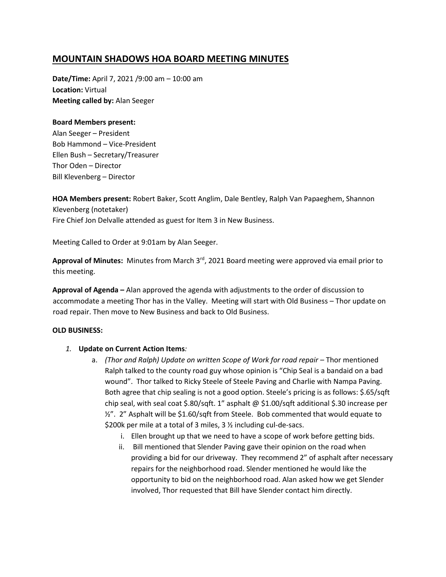# **MOUNTAIN SHADOWS HOA BOARD MEETING MINUTES**

**Date/Time:** April 7, 2021 /9:00 am – 10:00 am **Location:** Virtual **Meeting called by:** Alan Seeger

## **Board Members present:**

Alan Seeger – President Bob Hammond – Vice-President Ellen Bush – Secretary/Treasurer Thor Oden – Director Bill Klevenberg – Director

**HOA Members present:** Robert Baker, Scott Anglim, Dale Bentley, Ralph Van Papaeghem, Shannon Klevenberg (notetaker) Fire Chief Jon Delvalle attended as guest for Item 3 in New Business.

Meeting Called to Order at 9:01am by Alan Seeger.

Approval of Minutes: Minutes from March 3<sup>rd</sup>, 2021 Board meeting were approved via email prior to this meeting.

**Approval of Agenda –** Alan approved the agenda with adjustments to the order of discussion to accommodate a meeting Thor has in the Valley. Meeting will start with Old Business – Thor update on road repair. Then move to New Business and back to Old Business.

#### **OLD BUSINESS:**

#### *1.* **Update on Current Action Items***:*

- a. *(Thor and Ralph) Update on written Scope of Work for road repair* Thor mentioned Ralph talked to the county road guy whose opinion is "Chip Seal is a bandaid on a bad wound". Thor talked to Ricky Steele of Steele Paving and Charlie with Nampa Paving. Both agree that chip sealing is not a good option. Steele's pricing is as follows: \$.65/sqft chip seal, with seal coat \$.80/sqft. 1" asphalt @ \$1.00/sqft additional \$.30 increase per  $\frac{1}{2}$ ". 2" Asphalt will be \$1.60/sqft from Steele. Bob commented that would equate to \$200k per mile at a total of 3 miles, 3 ½ including cul-de-sacs.
	- i. Ellen brought up that we need to have a scope of work before getting bids.
	- ii. Bill mentioned that Slender Paving gave their opinion on the road when providing a bid for our driveway. They recommend 2" of asphalt after necessary repairs for the neighborhood road. Slender mentioned he would like the opportunity to bid on the neighborhood road. Alan asked how we get Slender involved, Thor requested that Bill have Slender contact him directly.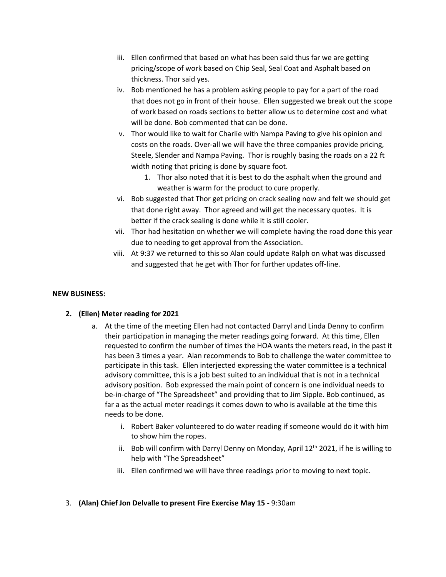- iii. Ellen confirmed that based on what has been said thus far we are getting pricing/scope of work based on Chip Seal, Seal Coat and Asphalt based on thickness. Thor said yes.
- iv. Bob mentioned he has a problem asking people to pay for a part of the road that does not go in front of their house. Ellen suggested we break out the scope of work based on roads sections to better allow us to determine cost and what will be done. Bob commented that can be done.
- v. Thor would like to wait for Charlie with Nampa Paving to give his opinion and costs on the roads. Over-all we will have the three companies provide pricing, Steele, Slender and Nampa Paving. Thor is roughly basing the roads on a 22 ft width noting that pricing is done by square foot.
	- 1. Thor also noted that it is best to do the asphalt when the ground and weather is warm for the product to cure properly.
- vi. Bob suggested that Thor get pricing on crack sealing now and felt we should get that done right away. Thor agreed and will get the necessary quotes. It is better if the crack sealing is done while it is still cooler.
- vii. Thor had hesitation on whether we will complete having the road done this year due to needing to get approval from the Association.
- viii. At 9:37 we returned to this so Alan could update Ralph on what was discussed and suggested that he get with Thor for further updates off-line.

## **NEW BUSINESS:**

# **2. (Ellen) Meter reading for 2021**

- a. At the time of the meeting Ellen had not contacted Darryl and Linda Denny to confirm their participation in managing the meter readings going forward. At this time, Ellen requested to confirm the number of times the HOA wants the meters read, in the past it has been 3 times a year. Alan recommends to Bob to challenge the water committee to participate in this task. Ellen interjected expressing the water committee is a technical advisory committee, this is a job best suited to an individual that is not in a technical advisory position. Bob expressed the main point of concern is one individual needs to be-in-charge of "The Spreadsheet" and providing that to Jim Sipple. Bob continued, as far a as the actual meter readings it comes down to who is available at the time this needs to be done.
	- i. Robert Baker volunteered to do water reading if someone would do it with him to show him the ropes.
	- ii. Bob will confirm with Darryl Denny on Monday, April  $12<sup>th</sup>$  2021, if he is willing to help with "The Spreadsheet"
	- iii. Ellen confirmed we will have three readings prior to moving to next topic.
- 3. **(Alan) Chief Jon Delvalle to present Fire Exercise May 15 -** 9:30am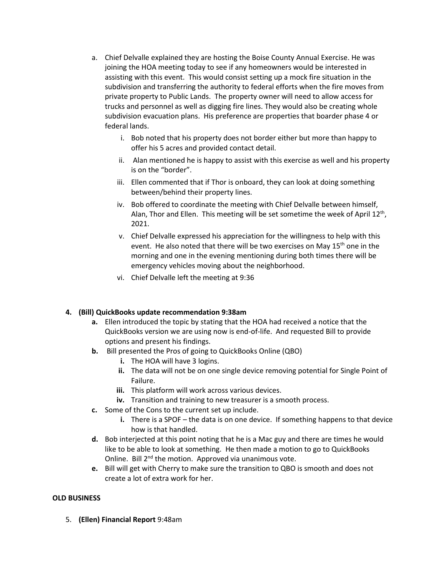- a. Chief Delvalle explained they are hosting the Boise County Annual Exercise. He was joining the HOA meeting today to see if any homeowners would be interested in assisting with this event. This would consist setting up a mock fire situation in the subdivision and transferring the authority to federal efforts when the fire moves from private property to Public Lands. The property owner will need to allow access for trucks and personnel as well as digging fire lines. They would also be creating whole subdivision evacuation plans. His preference are properties that boarder phase 4 or federal lands.
	- i. Bob noted that his property does not border either but more than happy to offer his 5 acres and provided contact detail.
	- ii. Alan mentioned he is happy to assist with this exercise as well and his property is on the "border".
	- iii. Ellen commented that if Thor is onboard, they can look at doing something between/behind their property lines.
	- iv. Bob offered to coordinate the meeting with Chief Delvalle between himself, Alan, Thor and Ellen. This meeting will be set sometime the week of April 12<sup>th</sup>, 2021.
	- v. Chief Delvalle expressed his appreciation for the willingness to help with this event. He also noted that there will be two exercises on May  $15<sup>th</sup>$  one in the morning and one in the evening mentioning during both times there will be emergency vehicles moving about the neighborhood.
	- vi. Chief Delvalle left the meeting at 9:36

# **4. (Bill) QuickBooks update recommendation 9:38am**

- **a.** Ellen introduced the topic by stating that the HOA had received a notice that the QuickBooks version we are using now is end-of-life. And requested Bill to provide options and present his findings.
- **b.** Bill presented the Pros of going to QuickBooks Online (QBO)
	- **i.** The HOA will have 3 logins.
	- **ii.** The data will not be on one single device removing potential for Single Point of Failure.
	- **iii.** This platform will work across various devices.
	- **iv.** Transition and training to new treasurer is a smooth process.
- **c.** Some of the Cons to the current set up include.
	- **i.** There is a SPOF the data is on one device. If something happens to that device how is that handled.
- **d.** Bob interjected at this point noting that he is a Mac guy and there are times he would like to be able to look at something. He then made a motion to go to QuickBooks Online. Bill 2<sup>nd</sup> the motion. Approved via unanimous vote.
- **e.** Bill will get with Cherry to make sure the transition to QBO is smooth and does not create a lot of extra work for her.

#### **OLD BUSINESS**

5. **(Ellen) Financial Report** 9:48am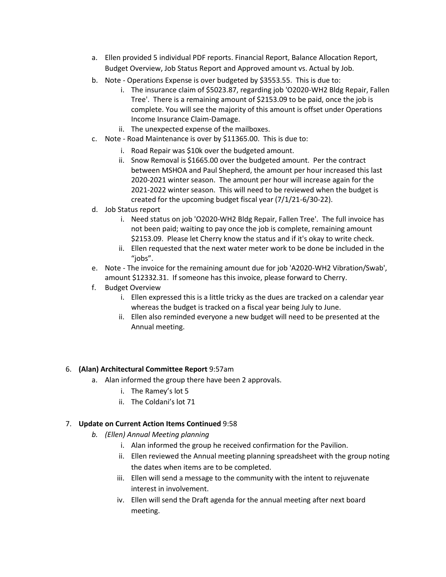- a. Ellen provided 5 individual PDF reports. Financial Report, Balance Allocation Report, Budget Overview, Job Status Report and Approved amount vs. Actual by Job.
- b. Note Operations Expense is over budgeted by \$3553.55. This is due to:
	- i. The insurance claim of \$5023.87, regarding job 'O2020-WH2 Bldg Repair, Fallen Tree'. There is a remaining amount of \$2153.09 to be paid, once the job is complete. You will see the majority of this amount is offset under Operations Income Insurance Claim-Damage.
	- ii. The unexpected expense of the mailboxes.
- c. Note Road Maintenance is over by \$11365.00. This is due to:
	- i. Road Repair was \$10k over the budgeted amount.
	- ii. Snow Removal is \$1665.00 over the budgeted amount. Per the contract between MSHOA and Paul Shepherd, the amount per hour increased this last 2020-2021 winter season. The amount per hour will increase again for the 2021-2022 winter season. This will need to be reviewed when the budget is created for the upcoming budget fiscal year (7/1/21-6/30-22).
- d. Job Status report
	- i. Need status on job 'O2020-WH2 Bldg Repair, Fallen Tree'. The full invoice has not been paid; waiting to pay once the job is complete, remaining amount \$2153.09. Please let Cherry know the status and if it's okay to write check.
	- ii. Ellen requested that the next water meter work to be done be included in the "jobs".
- e. Note The invoice for the remaining amount due for job 'A2020-WH2 Vibration/Swab', amount \$12332.31. If someone has this invoice, please forward to Cherry.
- f. Budget Overview
	- i. Ellen expressed this is a little tricky as the dues are tracked on a calendar year whereas the budget is tracked on a fiscal year being July to June.
	- ii. Ellen also reminded everyone a new budget will need to be presented at the Annual meeting.

# 6. **(Alan) Architectural Committee Report** 9:57am

- a. Alan informed the group there have been 2 approvals.
	- i. The Ramey's lot 5
	- ii. The Coldani's lot 71

# 7. **Update on Current Action Items Continued** 9:58

- *b. (Ellen) Annual Meeting planning*
	- i. Alan informed the group he received confirmation for the Pavilion.
	- ii. Ellen reviewed the Annual meeting planning spreadsheet with the group noting the dates when items are to be completed.
	- iii. Ellen will send a message to the community with the intent to rejuvenate interest in involvement.
	- iv. Ellen will send the Draft agenda for the annual meeting after next board meeting.